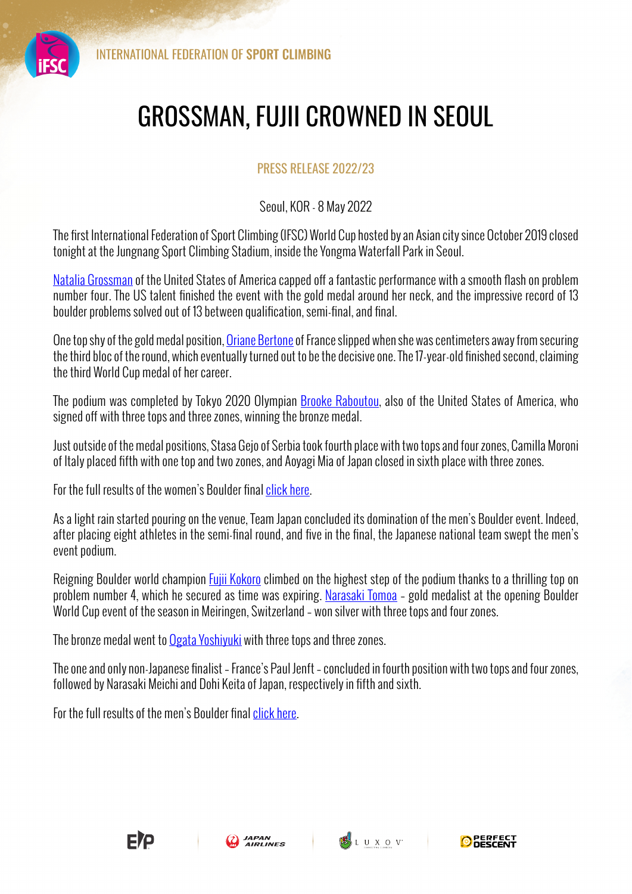

## GROSSMAN, FUJII CROWNED IN SEOUL

## PRESS RELEASE 2022/23

Seoul, KOR - 8 May 2022

The first International Federation of Sport Climbing (IFSC) World Cup hosted by an Asian city since October 2019 closed tonight at the Jungnang Sport Climbing Stadium, inside the Yongma Waterfall Park in Seoul.

Natalia Grossman of the United States of America capped off a fantastic performance with a smooth flash on problem number four. The US talent finished the event with the gold medal around her neck, and the impressive record of 13 boulder problems solved out of 13 between qualification, semi-final, and final.

One top shy of the gold medal position, Oriane Bertone of France slipped when she was centimeters away from securing the third bloc of the round, which eventually turned out to be the decisive one. The 17-year-old finished second, claiming the third World Cup medal of her career.

The podium was completed by Tokyo 2020 Olympian Brooke Raboutou, also of the United States of America, who signed off with three tops and three zones, winning the bronze medal.

Just outside of the medal positions, Stasa Gejo of Serbia took fourth place with two tops and four zones, Camilla Moroni of Italy placed fifth with one top and two zones, and Aoyagi Mia of Japan closed in sixth place with three zones.

For the full results of the women's Boulder final click here.

As a light rain started pouring on the venue, Team Japan concluded its domination of the men's Boulder event. Indeed, after placing eight athletes in the semi-final round, and five in the final, the Japanese national team swept the men's event podium.

Reigning Boulder world champion Fujii Kokoro climbed on the highest step of the podium thanks to a thrilling top on problem number 4, which he secured as time was expiring. Narasaki Tomoa – gold medalist at the opening Boulder World Cup event of the season in Meiringen, Switzerland – won silver with three tops and four zones.

The bronze medal went to Ogata Yoshiyuki with three tops and three zones.

The one and only non-Japanese finalist – France's Paul Jenft – concluded in fourth position with two tops and four zones, followed by Narasaki Meichi and Dohi Keita of Japan, respectively in fifth and sixth.

For the full results of the men's Boulder final click here.